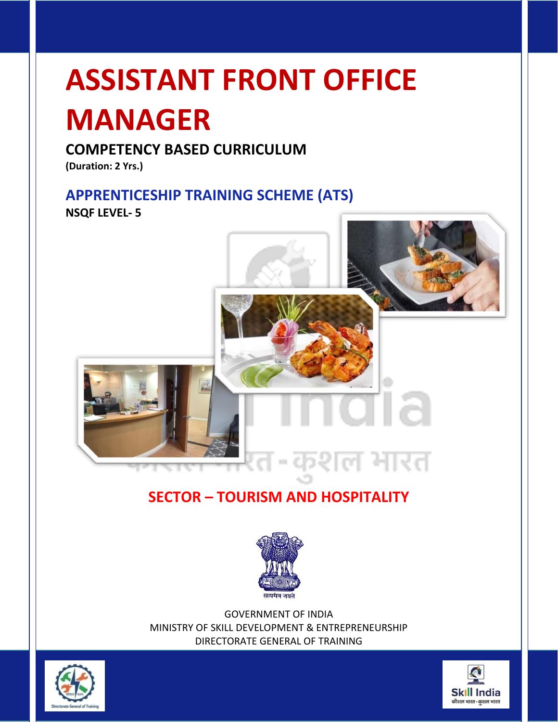# **ASSISTANT FRONT OFFICE**

# **MANAGER**

# **COMPETENCY BASED CURRICULUM**

**(Duration: 2 Yrs.)**

## **APPRENTICESHIP TRAINING SCHEME (ATS)**

**NSQF LEVEL- 5**



# **SECTOR – TOURISM AND HOSPITALITY**



GOVERNMENT OF INDIA MINISTRY OF SKILL DEVELOPMENT & ENTREPRENEURSHIP DIRECTORATE GENERAL OF TRAINING



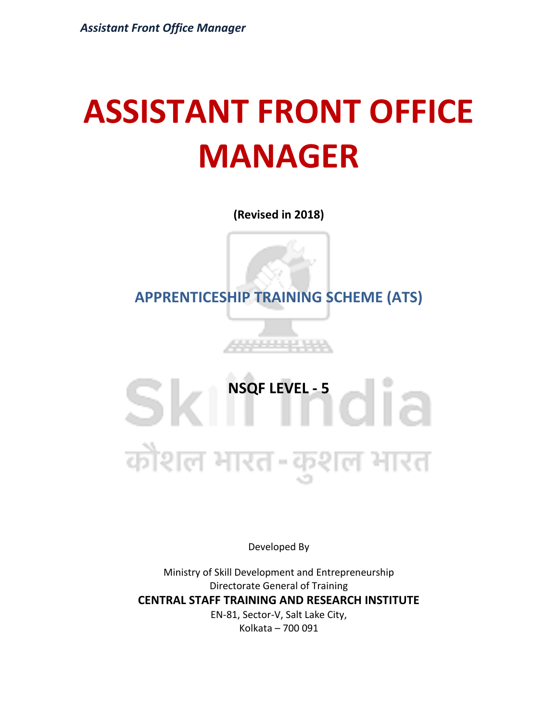# **ASSISTANT FRONT OFFICE MANAGER**

**(Revised in 2018)**

**APPRENTICESHIP TRAINING SCHEME (ATS)**

# **NSQF LEVEL - 5**<br> **1** Sk कौशल भारत-कुशल भारत

Developed By

Ministry of Skill Development and Entrepreneurship Directorate General of Training **CENTRAL STAFF TRAINING AND RESEARCH INSTITUTE** EN-81, Sector-V, Salt Lake City, Kolkata – 700 091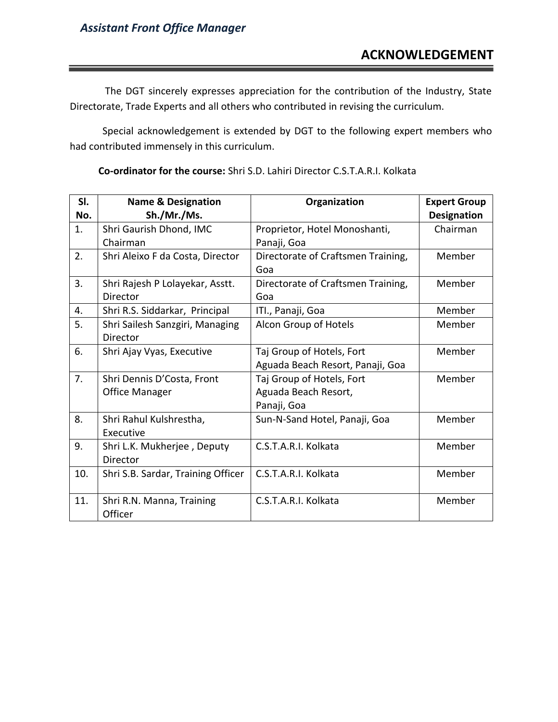The DGT sincerely expresses appreciation for the contribution of the Industry, State Directorate, Trade Experts and all others who contributed in revising the curriculum.

Special acknowledgement is extended by DGT to the following expert members who had contributed immensely in this curriculum.

| SI. | <b>Name &amp; Designation</b>      | Organization                       | <b>Expert Group</b> |
|-----|------------------------------------|------------------------------------|---------------------|
| No. | Sh./Mr./Ms.                        |                                    | <b>Designation</b>  |
| 1.  | Shri Gaurish Dhond, IMC            | Proprietor, Hotel Monoshanti,      | Chairman            |
|     | Chairman                           | Panaji, Goa                        |                     |
| 2.  | Shri Aleixo F da Costa, Director   | Directorate of Craftsmen Training, | Member              |
|     |                                    | Goa                                |                     |
| 3.  | Shri Rajesh P Lolayekar, Asstt.    | Directorate of Craftsmen Training, | Member              |
|     | Director                           | Goa                                |                     |
| 4.  | Shri R.S. Siddarkar, Principal     | ITI., Panaji, Goa                  | Member              |
| 5.  | Shri Sailesh Sanzgiri, Managing    | Alcon Group of Hotels              | Member              |
|     | Director                           |                                    |                     |
| 6.  | Shri Ajay Vyas, Executive          | Taj Group of Hotels, Fort          | Member              |
|     |                                    | Aguada Beach Resort, Panaji, Goa   |                     |
| 7.  | Shri Dennis D'Costa, Front         | Taj Group of Hotels, Fort          | Member              |
|     | <b>Office Manager</b>              | Aguada Beach Resort,               |                     |
|     |                                    | Panaji, Goa                        |                     |
| 8.  | Shri Rahul Kulshrestha,            | Sun-N-Sand Hotel, Panaji, Goa      | Member              |
|     | Executive                          |                                    |                     |
| 9.  | Shri L.K. Mukherjee, Deputy        | C.S.T.A.R.I. Kolkata               | Member              |
|     | Director                           |                                    |                     |
| 10. | Shri S.B. Sardar, Training Officer | C.S.T.A.R.I. Kolkata               | Member              |
|     |                                    |                                    |                     |
| 11. | Shri R.N. Manna, Training          | C.S.T.A.R.I. Kolkata               | Member              |
|     | Officer                            |                                    |                     |

**Co-ordinator for the course:** Shri S.D. Lahiri Director C.S.T.A.R.I. Kolkata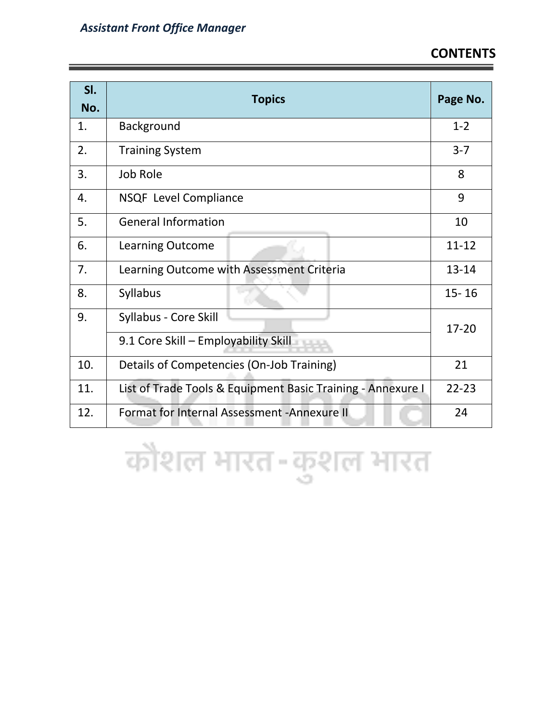| SI.<br>No. | <b>Topics</b>                                               | Page No.  |
|------------|-------------------------------------------------------------|-----------|
| 1.         | Background                                                  | $1 - 2$   |
| 2.         | <b>Training System</b>                                      | $3 - 7$   |
| 3.         | Job Role                                                    | 8         |
| 4.         | <b>NSQF Level Compliance</b>                                | 9         |
| 5.         | <b>General Information</b>                                  | 10        |
| 6.         | <b>Learning Outcome</b>                                     | $11 - 12$ |
| 7.         | Learning Outcome with Assessment Criteria                   |           |
| 8.         | Syllabus                                                    | $15 - 16$ |
| 9.         | Syllabus - Core Skill                                       | 17-20     |
|            | 9.1 Core Skill - Employability Skill                        |           |
| 10.        | Details of Competencies (On-Job Training)                   |           |
| 11.        | List of Trade Tools & Equipment Basic Training - Annexure I |           |
| 12.        | Format for Internal Assessment - Annexure II                | 24        |

कौशल भारत-कुशल भारत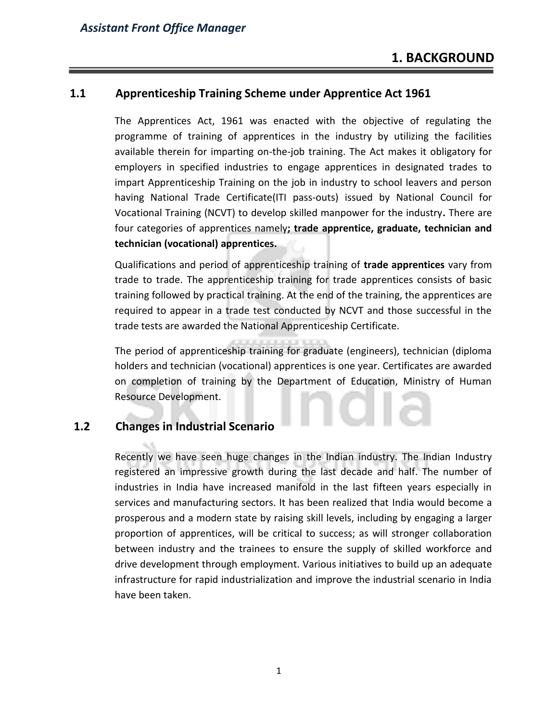#### **1.1 Apprenticeship Training Scheme under Apprentice Act 1961**

The Apprentices Act, 1961 was enacted with the objective of regulating the programme of training of apprentices in the industry by utilizing the facilities available therein for imparting on-the-job training. The Act makes it obligatory for employers in specified industries to engage apprentices in designated trades to impart Apprenticeship Training on the job in industry to school leavers and person having National Trade Certificate(ITI pass-outs) issued by National Council for Vocational Training (NCVT) to develop skilled manpower for the industry**.** There are four categories of apprentices namely**; trade apprentice, graduate, technician and technician (vocational) apprentices.** 

Qualifications and period of apprenticeship training of **trade apprentices** vary from trade to trade. The apprenticeship training for trade apprentices consists of basic training followed by practical training. At the end of the training, the apprentices are required to appear in a trade test conducted by NCVT and those successful in the trade tests are awarded the National Apprenticeship Certificate.

The period of apprenticeship training for graduate (engineers), technician (diploma holders and technician (vocational) apprentices is one year. Certificates are awarded on completion of training by the Department of Education, Ministry of Human Resource Development.

#### **1.2 Changes in Industrial Scenario**

Recently we have seen huge changes in the Indian industry. The Indian Industry registered an impressive growth during the last decade and half. The number of industries in India have increased manifold in the last fifteen years especially in services and manufacturing sectors. It has been realized that India would become a prosperous and a modern state by raising skill levels, including by engaging a larger proportion of apprentices, will be critical to success; as will stronger collaboration between industry and the trainees to ensure the supply of skilled workforce and drive development through employment. Various initiatives to build up an adequate infrastructure for rapid industrialization and improve the industrial scenario in India have been taken.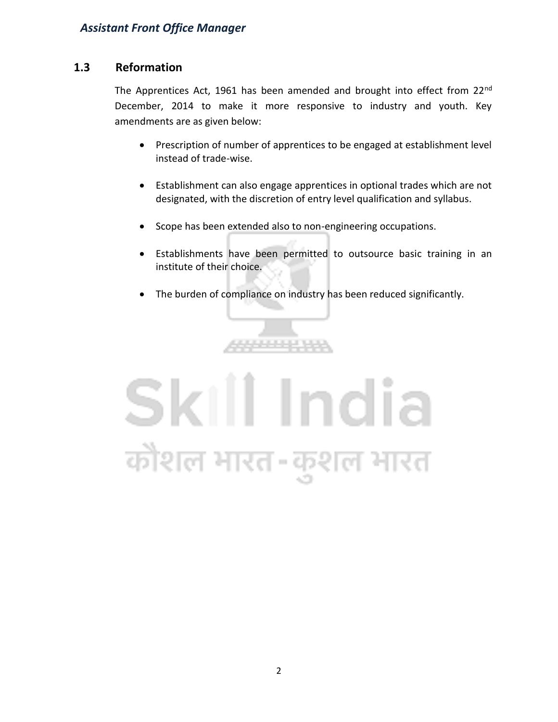#### **1.3 Reformation**

The Apprentices Act, 1961 has been amended and brought into effect from  $22^{nd}$ December, 2014 to make it more responsive to industry and youth. Key amendments are as given below:

- Prescription of number of apprentices to be engaged at establishment level instead of trade-wise.
- Establishment can also engage apprentices in optional trades which are not designated, with the discretion of entry level qualification and syllabus.
- Scope has been extended also to non-engineering occupations.
- Establishments have been permitted to outsource basic training in an institute of their choice.
- The burden of compliance on industry has been reduced significantly.



4444444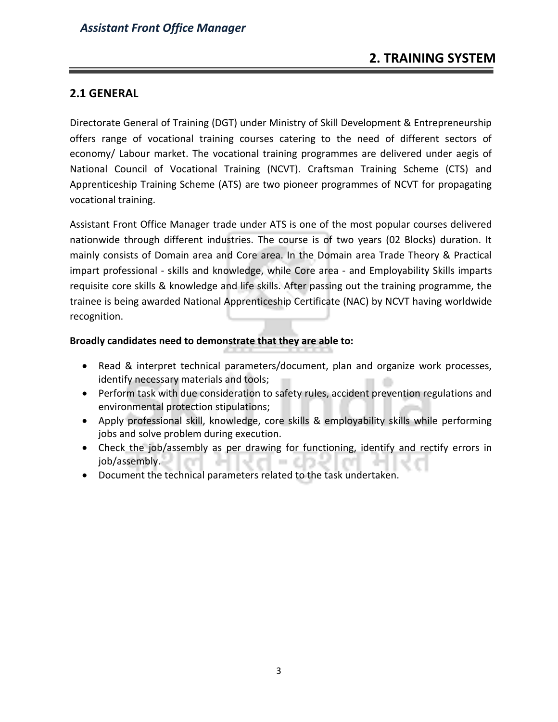#### **2.1 GENERAL**

Directorate General of Training (DGT) under Ministry of Skill Development & Entrepreneurship offers range of vocational training courses catering to the need of different sectors of economy/ Labour market. The vocational training programmes are delivered under aegis of National Council of Vocational Training (NCVT). Craftsman Training Scheme (CTS) and Apprenticeship Training Scheme (ATS) are two pioneer programmes of NCVT for propagating vocational training.

Assistant Front Office Manager trade under ATS is one of the most popular courses delivered nationwide through different industries. The course is of two years (02 Blocks) duration. It mainly consists of Domain area and Core area. In the Domain area Trade Theory & Practical impart professional - skills and knowledge, while Core area - and Employability Skills imparts requisite core skills & knowledge and life skills. After passing out the training programme, the trainee is being awarded National Apprenticeship Certificate (NAC) by NCVT having worldwide recognition.

#### **Broadly candidates need to demonstrate that they are able to:**

- Read & interpret technical parameters/document, plan and organize work processes, identify necessary materials and tools;
- Perform task with due consideration to safety rules, accident prevention regulations and environmental protection stipulations;
- Apply professional skill, knowledge, core skills & employability skills while performing jobs and solve problem during execution.
- Check the job/assembly as per drawing for functioning, identify and rectify errors in job/assembly. **COL**
- Document the technical parameters related to the task undertaken.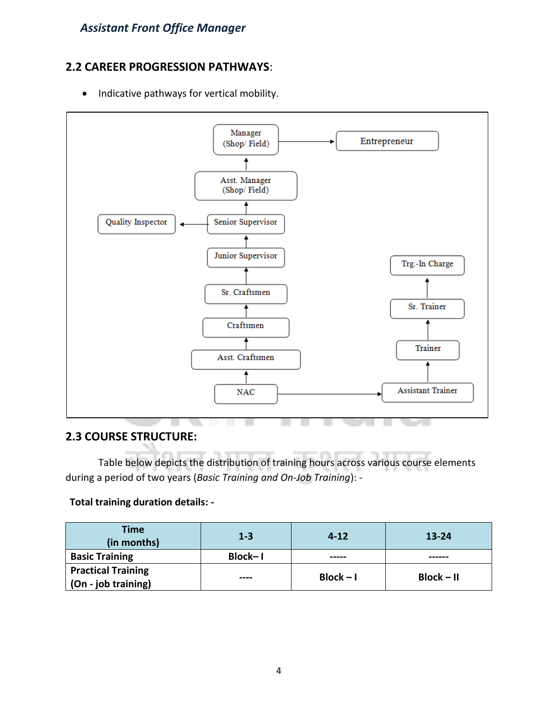#### **2.2 CAREER PROGRESSION PATHWAYS**:

• Indicative pathways for vertical mobility.



#### **2.3 COURSE STRUCTURE:**

Table below depicts the distribution of training hours across various course elements during a period of two years (*Basic Training and On-Job Training*): -

#### **Total training duration details: -**

| <b>Time</b><br>(in months)                               | $1 - 3$ | $4 - 12$    | $13 - 24$    |
|----------------------------------------------------------|---------|-------------|--------------|
| <b>Basic Training</b>                                    | Block-1 | -----       |              |
| <b>Practical Training</b><br>$\vert$ (On - job training) | ----    | $Block - I$ | $Block - II$ |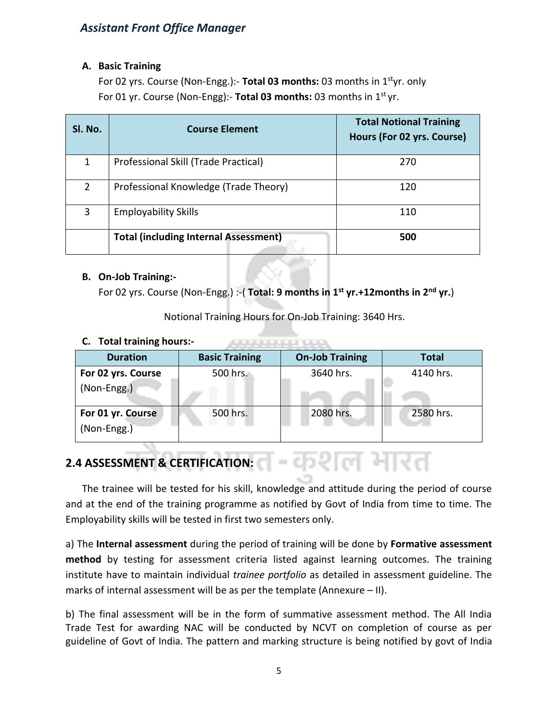#### **A. Basic Training**

For 02 yrs. Course (Non-Engg.):- **Total 03 months:** 03 months in 1styr. only For 01 yr. Course (Non-Engg):- **Total 03 months:** 03 months in 1st yr.

| SI. No.        | <b>Course Element</b>                        | <b>Total Notional Training</b><br>Hours (For 02 yrs. Course) |
|----------------|----------------------------------------------|--------------------------------------------------------------|
| 1              | Professional Skill (Trade Practical)         | 270                                                          |
| $\overline{2}$ | Professional Knowledge (Trade Theory)        | 120                                                          |
| $\overline{3}$ | <b>Employability Skills</b>                  | 110                                                          |
|                | <b>Total (including Internal Assessment)</b> | 500                                                          |

#### **B. On-Job Training:-**

For 02 yrs. Course (Non-Engg.) :-( **Total: 9 months in 1st yr.+12months in 2nd yr.**)

Notional Training Hours for On-Job Training: 3640 Hrs.

AND CONTRACTOR CONTRACTOR

#### **C. Total training hours:-**

| <b>Duration</b>                    | <b>Basic Training</b> | <b>On-Job Training</b> | <b>Total</b> |
|------------------------------------|-----------------------|------------------------|--------------|
| For 02 yrs. Course<br>(Non-Engg.)  | 500 hrs.              | 3640 hrs.              | 4140 hrs.    |
| For 01 yr. Course<br>$(Non-Engg.)$ | 500 hrs.              | 2080 hrs.              | 2580 hrs.    |

# **2.4 ASSESSMENT & CERTIFICATION:**

The trainee will be tested for his skill, knowledge and attitude during the period of course and at the end of the training programme as notified by Govt of India from time to time. The Employability skills will be tested in first two semesters only.

-कशल मारत

a) The **Internal assessment** during the period of training will be done by **Formative assessment method** by testing for assessment criteria listed against learning outcomes. The training institute have to maintain individual *trainee portfolio* as detailed in assessment guideline. The marks of internal assessment will be as per the template (Annexure – II).

b) The final assessment will be in the form of summative assessment method. The All India Trade Test for awarding NAC will be conducted by NCVT on completion of course as per guideline of Govt of India. The pattern and marking structure is being notified by govt of India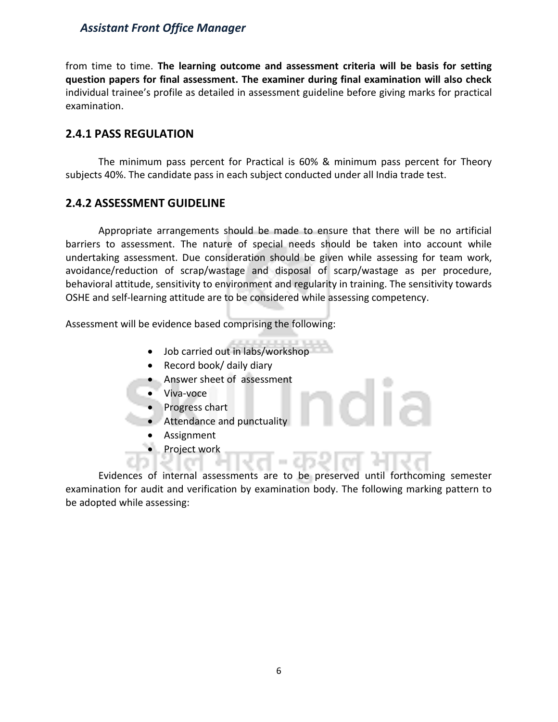from time to time. **The learning outcome and assessment criteria will be basis for setting question papers for final assessment. The examiner during final examination will also check**  individual trainee's profile as detailed in assessment guideline before giving marks for practical examination.

#### **2.4.1 PASS REGULATION**

The minimum pass percent for Practical is 60% & minimum pass percent for Theory subjects 40%. The candidate pass in each subject conducted under all India trade test.

#### **2.4.2 ASSESSMENT GUIDELINE**

Appropriate arrangements should be made to ensure that there will be no artificial barriers to assessment. The nature of special needs should be taken into account while undertaking assessment. Due consideration should be given while assessing for team work, avoidance/reduction of scrap/wastage and disposal of scarp/wastage as per procedure, behavioral attitude, sensitivity to environment and regularity in training. The sensitivity towards OSHE and self-learning attitude are to be considered while assessing competency.

Assessment will be evidence based comprising the following:

- Job carried out in labs/workshop
- Record book/ daily diary
- Answer sheet of assessment
- Viva-voce
- Progress chart
- Attendance and punctuality
- **Assignment**
- Project work

Evidences of internal assessments are to be preserved until forthcoming semester examination for audit and verification by examination body. The following marking pattern to be adopted while assessing: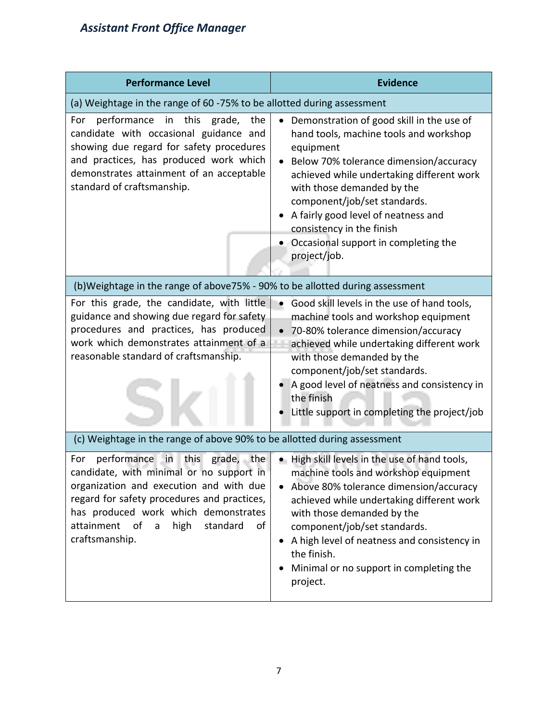| <b>Performance Level</b>                                                                                                                                                                                                                                                                    | <b>Evidence</b>                                                                                                                                                                                                                                                                                                                                                                                             |  |  |  |
|---------------------------------------------------------------------------------------------------------------------------------------------------------------------------------------------------------------------------------------------------------------------------------------------|-------------------------------------------------------------------------------------------------------------------------------------------------------------------------------------------------------------------------------------------------------------------------------------------------------------------------------------------------------------------------------------------------------------|--|--|--|
| (a) Weightage in the range of 60 -75% to be allotted during assessment                                                                                                                                                                                                                      |                                                                                                                                                                                                                                                                                                                                                                                                             |  |  |  |
| performance in this grade, the<br>For<br>candidate with occasional guidance and<br>showing due regard for safety procedures<br>and practices, has produced work which<br>demonstrates attainment of an acceptable<br>standard of craftsmanship.                                             | Demonstration of good skill in the use of<br>$\bullet$<br>hand tools, machine tools and workshop<br>equipment<br>Below 70% tolerance dimension/accuracy<br>achieved while undertaking different work<br>with those demanded by the<br>component/job/set standards.<br>A fairly good level of neatness and<br>consistency in the finish<br>Occasional support in completing the<br>$\bullet$<br>project/job. |  |  |  |
| (b)Weightage in the range of above75% - 90% to be allotted during assessment                                                                                                                                                                                                                |                                                                                                                                                                                                                                                                                                                                                                                                             |  |  |  |
| For this grade, the candidate, with little<br>guidance and showing due regard for safety<br>procedures and practices, has produced<br>work which demonstrates attainment of a<br>reasonable standard of craftsmanship.                                                                      | Good skill levels in the use of hand tools,<br>$\bullet$<br>machine tools and workshop equipment<br>70-80% tolerance dimension/accuracy<br>achieved while undertaking different work<br>with those demanded by the<br>component/job/set standards.<br>A good level of neatness and consistency in<br>the finish<br>Little support in completing the project/job                                             |  |  |  |
| (c) Weightage in the range of above 90% to be allotted during assessment                                                                                                                                                                                                                    |                                                                                                                                                                                                                                                                                                                                                                                                             |  |  |  |
| in<br>grade, the<br>performance<br>this<br>For<br>candidate, with minimal or no support in<br>organization and execution and with due<br>regard for safety procedures and practices,<br>has produced work which demonstrates<br>attainment of a<br>high<br>standard<br>of<br>craftsmanship. | • High skill levels in the use of hand tools,<br>machine tools and workshop equipment<br>Above 80% tolerance dimension/accuracy<br>achieved while undertaking different work<br>with those demanded by the<br>component/job/set standards.<br>A high level of neatness and consistency in<br>the finish.<br>Minimal or no support in completing the<br>project.                                             |  |  |  |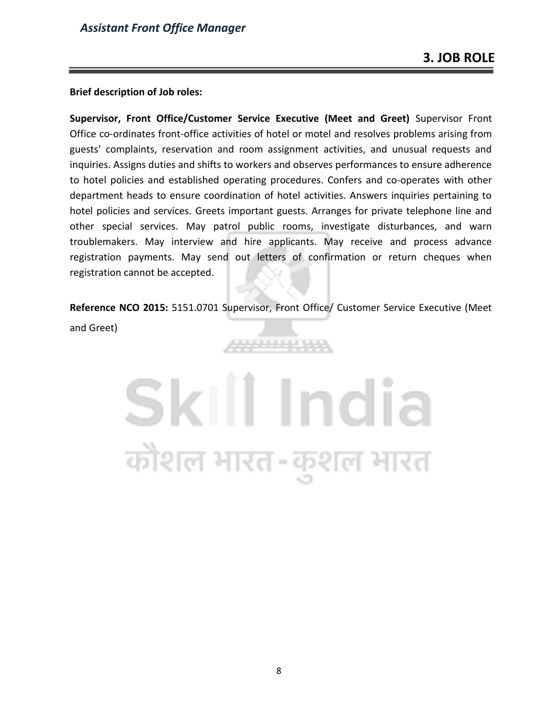#### **Brief description of Job roles:**

**Supervisor, Front Office/Customer Service Executive (Meet and Greet)** Supervisor Front Office co-ordinates front-office activities of hotel or motel and resolves problems arising from guests' complaints, reservation and room assignment activities, and unusual requests and inquiries. Assigns duties and shifts to workers and observes performances to ensure adherence to hotel policies and established operating procedures. Confers and co-operates with other department heads to ensure coordination of hotel activities. Answers inquiries pertaining to hotel policies and services. Greets important guests. Arranges for private telephone line and other special services. May patrol public rooms, investigate disturbances, and warn troublemakers. May interview and hire applicants. May receive and process advance registration payments. May send out letters of confirmation or return cheques when registration cannot be accepted.

**Reference NCO 2015:** 5151.0701 Supervisor, Front Office/ Customer Service Executive (Meet and Greet)

88888238

# Skill India कोशल भारत-कुशल भारत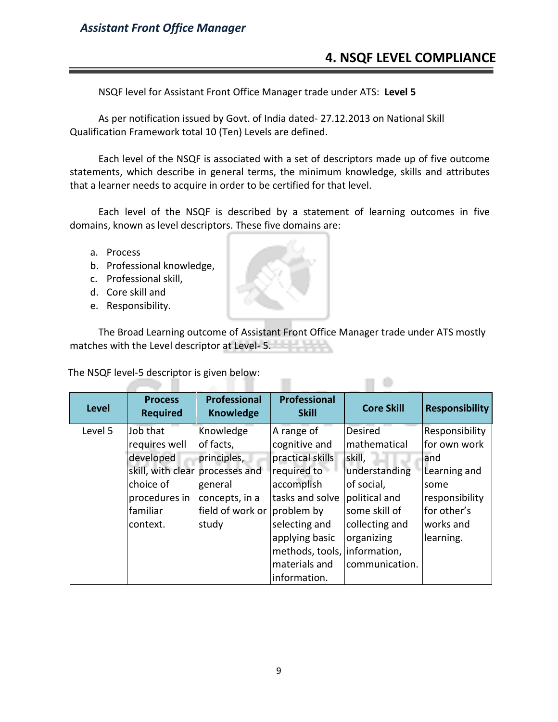### **4. NSQF LEVEL COMPLIANCE**

NSQF level for Assistant Front Office Manager trade under ATS: **Level 5**

As per notification issued by Govt. of India dated- 27.12.2013 on National Skill Qualification Framework total 10 (Ten) Levels are defined.

Each level of the NSQF is associated with a set of descriptors made up of five outcome statements, which describe in general terms, the minimum knowledge, skills and attributes that a learner needs to acquire in order to be certified for that level.

Each level of the NSQF is described by a statement of learning outcomes in five domains, known as level descriptors. These five domains are:

- a. Process
- b. Professional knowledge,
- c. Professional skill,
- d. Core skill and
- e. Responsibility.

The Broad Learning outcome of Assistant Front Office Manager trade under ATS mostly matches with the Level descriptor at Level- 5.

 $\Box$ 

The NSQF level-5 descriptor is given below: m.

| <b>Level</b> | <b>Process</b><br><b>Required</b> | <b>Professional</b><br><b>Knowledge</b> | <b>Professional</b><br><b>Skill</b> | <b>Core Skill</b> | <b>Responsibility</b> |
|--------------|-----------------------------------|-----------------------------------------|-------------------------------------|-------------------|-----------------------|
| Level 5      | Job that                          | Knowledge                               | A range of                          | <b>Desired</b>    | Responsibility        |
|              | requires well                     | of facts,                               | cognitive and                       | mathematical      | for own work          |
|              | developed                         | principles,                             | practical skills                    | skill,            | and                   |
|              | skill, with clear processes and   |                                         | required to                         | understanding     | Learning and          |
|              | choice of                         | general                                 | accomplish                          | of social,        | some                  |
|              | procedures in                     | concepts, in a                          | tasks and solve                     | political and     | responsibility        |
|              | familiar                          | field of work or                        | problem by                          | some skill of     | for other's           |
|              | context.                          | study                                   | selecting and                       | collecting and    | works and             |
|              |                                   |                                         | applying basic                      | organizing        | learning.             |
|              |                                   |                                         | methods, tools, information,        |                   |                       |
|              |                                   |                                         | materials and                       | communication.    |                       |
|              |                                   |                                         | information.                        |                   |                       |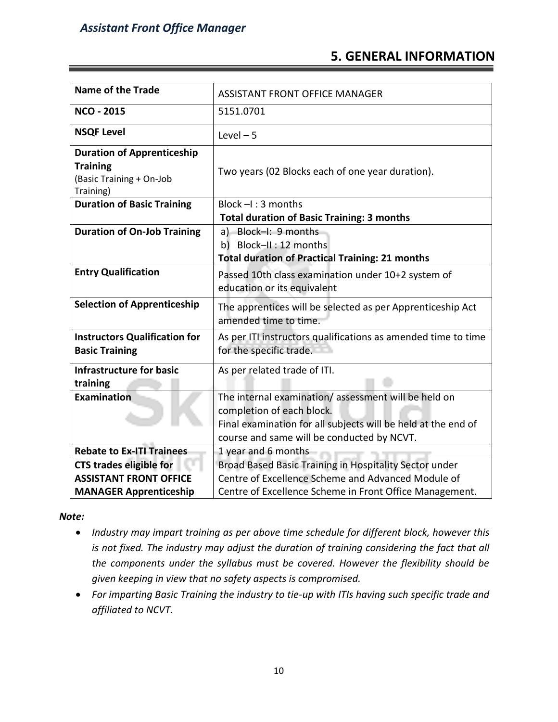### **5. GENERAL INFORMATION**

| <b>Name of the Trade</b>                                                                      | <b>ASSISTANT FRONT OFFICE MANAGER</b>                                                                                                                                                           |
|-----------------------------------------------------------------------------------------------|-------------------------------------------------------------------------------------------------------------------------------------------------------------------------------------------------|
| <b>NCO - 2015</b>                                                                             | 5151.0701                                                                                                                                                                                       |
| <b>NSQF Level</b>                                                                             | Level $-5$                                                                                                                                                                                      |
| <b>Duration of Apprenticeship</b><br><b>Training</b><br>(Basic Training + On-Job<br>Training) | Two years (02 Blocks each of one year duration).                                                                                                                                                |
| <b>Duration of Basic Training</b>                                                             | Block $-1:3$ months<br><b>Total duration of Basic Training: 3 months</b>                                                                                                                        |
| <b>Duration of On-Job Training</b>                                                            | a) Block-I: 9 months<br>b) Block-II: 12 months<br><b>Total duration of Practical Training: 21 months</b>                                                                                        |
| <b>Entry Qualification</b>                                                                    | Passed 10th class examination under 10+2 system of<br>education or its equivalent                                                                                                               |
| <b>Selection of Apprenticeship</b>                                                            | The apprentices will be selected as per Apprenticeship Act<br>amended time to time.                                                                                                             |
| <b>Instructors Qualification for</b><br><b>Basic Training</b>                                 | As per ITI instructors qualifications as amended time to time<br>for the specific trade.                                                                                                        |
| <b>Infrastructure for basic</b><br>training                                                   | As per related trade of ITI.                                                                                                                                                                    |
| Examination                                                                                   | The internal examination/assessment will be held on<br>completion of each block.<br>Final examination for all subjects will be held at the end of<br>course and same will be conducted by NCVT. |
| <b>Rebate to Ex-ITI Trainees</b>                                                              | 1 year and 6 months                                                                                                                                                                             |
| <b>CTS trades eligible for</b>                                                                | Broad Based Basic Training in Hospitality Sector under                                                                                                                                          |
| <b>ASSISTANT FRONT OFFICE</b>                                                                 | Centre of Excellence Scheme and Advanced Module of                                                                                                                                              |
| <b>MANAGER Apprenticeship</b>                                                                 | Centre of Excellence Scheme in Front Office Management.                                                                                                                                         |

*Note:*

- *Industry may impart training as per above time schedule for different block, however this is not fixed. The industry may adjust the duration of training considering the fact that all the components under the syllabus must be covered. However the flexibility should be given keeping in view that no safety aspects is compromised.*
- *For imparting Basic Training the industry to tie-up with ITIs having such specific trade and affiliated to NCVT.*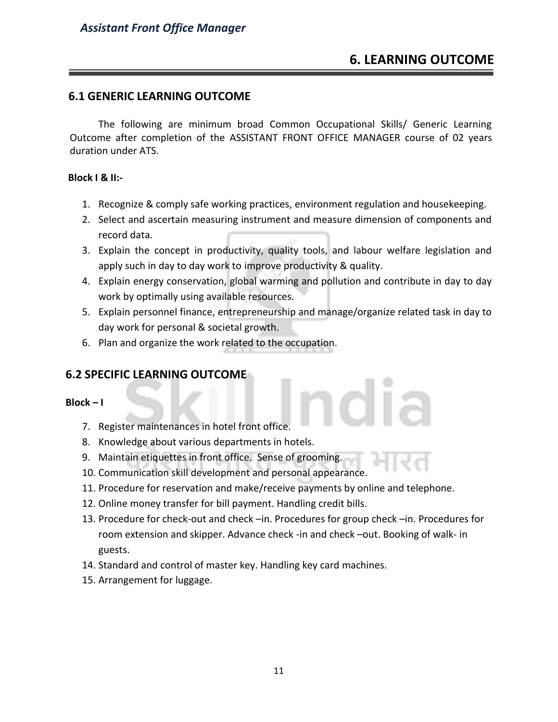### **6. LEARNING OUTCOME**

#### **6.1 GENERIC LEARNING OUTCOME**

The following are minimum broad Common Occupational Skills/ Generic Learning Outcome after completion of the ASSISTANT FRONT OFFICE MANAGER course of 02 years duration under ATS.

#### **Block I & II:-**

- 1. Recognize & comply safe working practices, environment regulation and housekeeping.
- 2. Select and ascertain measuring instrument and measure dimension of components and record data.
- 3. Explain the concept in productivity, quality tools, and labour welfare legislation and apply such in day to day work to improve productivity & quality.
- 4. Explain energy conservation, global warming and pollution and contribute in day to day work by optimally using available resources.
- 5. Explain personnel finance, entrepreneurship and manage/organize related task in day to day work for personal & societal growth.
- 6. Plan and organize the work related to the occupation.

#### **6.2 SPECIFIC LEARNING OUTCOME**

#### **Block – I**

- 7. Register maintenances in hotel front office.
- 8. Knowledge about various departments in hotels.
- 9. Maintain etiquettes in front office. Sense of grooming.
- 10. Communication skill development and personal appearance.
- 11. Procedure for reservation and make/receive payments by online and telephone.
- 12. Online money transfer for bill payment. Handling credit bills.
- 13. Procedure for check-out and check –in. Procedures for group check –in. Procedures for room extension and skipper. Advance check -in and check –out. Booking of walk- in guests.
- 14. Standard and control of master key. Handling key card machines.
- 15. Arrangement for luggage.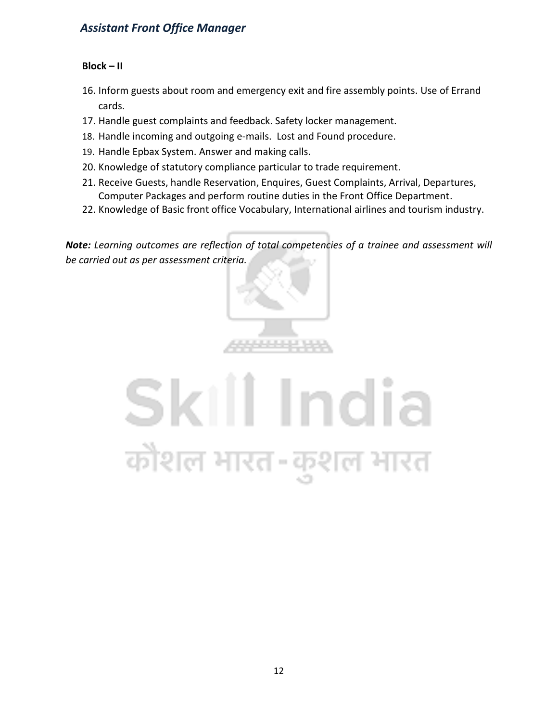#### **Block – II**

- 16. Inform guests about room and emergency exit and fire assembly points. Use of Errand cards.
- 17. Handle guest complaints and feedback. Safety locker management.
- 18. Handle incoming and outgoing e-mails. Lost and Found procedure.
- 19. Handle Epbax System. Answer and making calls.
- 20. Knowledge of statutory compliance particular to trade requirement.
- 21. Receive Guests, handle Reservation, Enquires, Guest Complaints, Arrival, Departures, Computer Packages and perform routine duties in the Front Office Department.
- 22. Knowledge of Basic front office Vocabulary, International airlines and tourism industry.

*Note: Learning outcomes are reflection of total competencies of a trainee and assessment will be carried out as per assessment criteria.*



# Skill India कोशल भारत-कुश ल भारत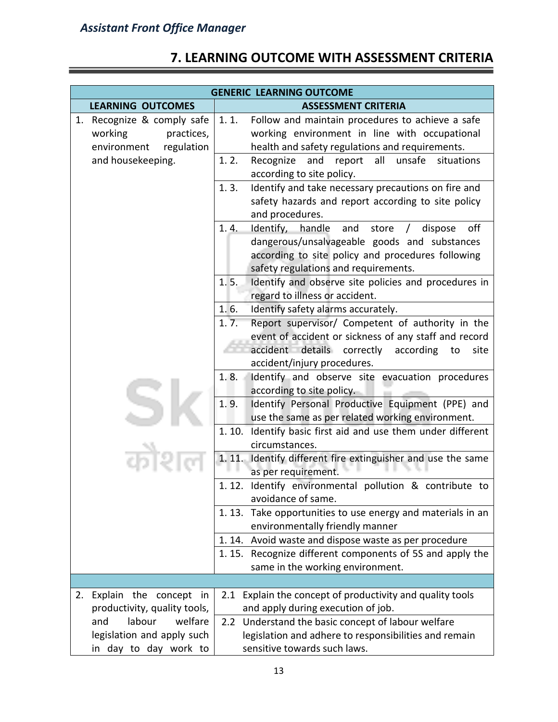| <b>GENERIC LEARNING OUTCOME</b>                                                  |                                                                                                                                                                                                            |  |
|----------------------------------------------------------------------------------|------------------------------------------------------------------------------------------------------------------------------------------------------------------------------------------------------------|--|
| <b>LEARNING OUTCOMES</b>                                                         | <b>ASSESSMENT CRITERIA</b>                                                                                                                                                                                 |  |
| 1. Recognize & comply safe<br>working<br>practices,<br>environment<br>regulation | 1.1.<br>Follow and maintain procedures to achieve a safe<br>working environment in line with occupational<br>health and safety regulations and requirements.                                               |  |
| and housekeeping.                                                                | 1.2.<br>all<br>unsafe<br>Recognize<br>and<br>report<br>situations<br>according to site policy.                                                                                                             |  |
|                                                                                  | Identify and take necessary precautions on fire and<br>1.3.<br>safety hazards and report according to site policy<br>and procedures.                                                                       |  |
|                                                                                  | off<br>1.4.<br>Identify,<br>handle<br>and<br>store<br>dispose<br>dangerous/unsalvageable goods and substances<br>according to site policy and procedures following<br>safety regulations and requirements. |  |
|                                                                                  | Identify and observe site policies and procedures in<br>1.5.<br>regard to illness or accident.                                                                                                             |  |
|                                                                                  | Identify safety alarms accurately.<br>1.6.                                                                                                                                                                 |  |
|                                                                                  | 1.7.<br>Report supervisor/ Competent of authority in the<br>event of accident or sickness of any staff and record<br>accident details correctly<br>according<br>site<br>to<br>accident/injury procedures.  |  |
|                                                                                  | Identify and observe site evacuation procedures<br>1.8.<br>according to site policy.                                                                                                                       |  |
|                                                                                  | 1.9.<br>Identify Personal Productive Equipment (PPE) and<br>use the same as per related working environment.                                                                                               |  |
|                                                                                  | Identify basic first aid and use them under different<br>1.10.<br>circumstances.                                                                                                                           |  |
|                                                                                  | 1.11.<br>Identify different fire extinguisher and use the same<br>as per requirement.                                                                                                                      |  |
|                                                                                  | 1.12. Identify environmental pollution & contribute to<br>avoidance of same.                                                                                                                               |  |
|                                                                                  | Take opportunities to use energy and materials in an<br>1.13.<br>environmentally friendly manner                                                                                                           |  |
|                                                                                  | 1.14. Avoid waste and dispose waste as per procedure                                                                                                                                                       |  |
|                                                                                  | 1.15. Recognize different components of 5S and apply the<br>same in the working environment.                                                                                                               |  |
|                                                                                  |                                                                                                                                                                                                            |  |
| Explain the concept in<br>2.<br>productivity, quality tools,                     | Explain the concept of productivity and quality tools<br>2.1<br>and apply during execution of job.                                                                                                         |  |
| and<br>labour<br>welfare<br>legislation and apply such<br>in day to day work to  | 2.2 Understand the basic concept of labour welfare<br>legislation and adhere to responsibilities and remain<br>sensitive towards such laws.                                                                |  |

# **7. LEARNING OUTCOME WITH ASSESSMENT CRITERIA**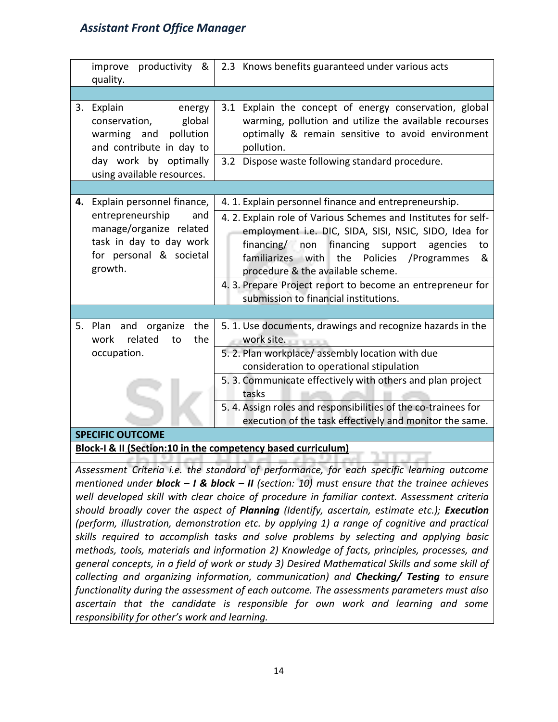| productivity &<br>improve<br>quality.                                                                                                                             | 2.3 Knows benefits guaranteed under various acts                                                                                                                                                                                                                                                                                                                                                                                                |  |  |
|-------------------------------------------------------------------------------------------------------------------------------------------------------------------|-------------------------------------------------------------------------------------------------------------------------------------------------------------------------------------------------------------------------------------------------------------------------------------------------------------------------------------------------------------------------------------------------------------------------------------------------|--|--|
|                                                                                                                                                                   |                                                                                                                                                                                                                                                                                                                                                                                                                                                 |  |  |
| Explain<br>3.<br>energy<br>conservation,<br>global<br>pollution<br>warming and<br>and contribute in day to<br>day work by optimally<br>using available resources. | 3.1 Explain the concept of energy conservation, global<br>warming, pollution and utilize the available recourses<br>optimally & remain sensitive to avoid environment<br>pollution.<br>3.2 Dispose waste following standard procedure.                                                                                                                                                                                                          |  |  |
|                                                                                                                                                                   |                                                                                                                                                                                                                                                                                                                                                                                                                                                 |  |  |
| Explain personnel finance,<br>4.<br>entrepreneurship<br>and<br>manage/organize related<br>task in day to day work<br>for personal & societal<br>growth.           | 4. 1. Explain personnel finance and entrepreneurship.<br>4. 2. Explain role of Various Schemes and Institutes for self-<br>employment i.e. DIC, SIDA, SISI, NSIC, SIDO, Idea for<br>financing support<br>financing/ non<br>agencies<br>to<br>familiarizes with<br>the<br>Policies / Programmes<br>&<br>procedure & the available scheme.<br>4. 3. Prepare Project report to become an entrepreneur for<br>submission to financial institutions. |  |  |
|                                                                                                                                                                   |                                                                                                                                                                                                                                                                                                                                                                                                                                                 |  |  |
| and organize<br>the<br>5.<br>Plan<br>the<br>work<br>related<br>to                                                                                                 | 5. 1. Use documents, drawings and recognize hazards in the<br>work site.                                                                                                                                                                                                                                                                                                                                                                        |  |  |
| occupation.                                                                                                                                                       | 5. 2. Plan workplace/ assembly location with due<br>consideration to operational stipulation                                                                                                                                                                                                                                                                                                                                                    |  |  |
|                                                                                                                                                                   | 5. 3. Communicate effectively with others and plan project<br>tasks                                                                                                                                                                                                                                                                                                                                                                             |  |  |
|                                                                                                                                                                   | 5. 4. Assign roles and responsibilities of the co-trainees for<br>execution of the task effectively and monitor the same.                                                                                                                                                                                                                                                                                                                       |  |  |
| <b>SPECIFIC OUTCOME</b>                                                                                                                                           |                                                                                                                                                                                                                                                                                                                                                                                                                                                 |  |  |
|                                                                                                                                                                   | Block-I & II (Section:10 in the competency based curriculum)                                                                                                                                                                                                                                                                                                                                                                                    |  |  |
|                                                                                                                                                                   | Assessment Criteria i.e. the standard of performance, for each specific learning outcome                                                                                                                                                                                                                                                                                                                                                        |  |  |

*mentioned under block – I & block – II (section: 10) must ensure that the trainee achieves well developed skill with clear choice of procedure in familiar context. Assessment criteria should broadly cover the aspect of Planning (Identify, ascertain, estimate etc.); Execution (perform, illustration, demonstration etc. by applying 1) a range of cognitive and practical skills required to accomplish tasks and solve problems by selecting and applying basic methods, tools, materials and information 2) Knowledge of facts, principles, processes, and general concepts, in a field of work or study 3) Desired Mathematical Skills and some skill of collecting and organizing information, communication) and Checking/ Testing to ensure functionality during the assessment of each outcome. The assessments parameters must also ascertain that the candidate is responsible for own work and learning and some responsibility for other's work and learning.*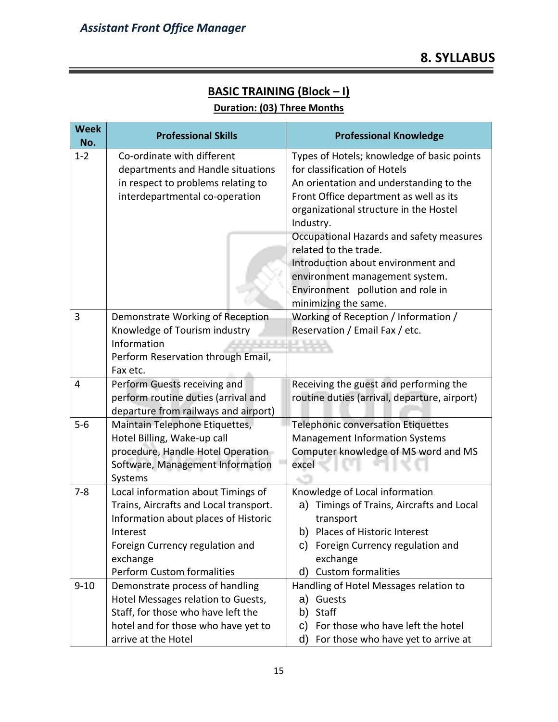### **BASIC TRAINING (Block – I) Duration: (03) Three Months**

| <b>Week</b><br>No. | <b>Professional Skills</b>                  | <b>Professional Knowledge</b>                       |
|--------------------|---------------------------------------------|-----------------------------------------------------|
| $1 - 2$            | Co-ordinate with different                  | Types of Hotels; knowledge of basic points          |
|                    | departments and Handle situations           | for classification of Hotels                        |
|                    | in respect to problems relating to          | An orientation and understanding to the             |
|                    | interdepartmental co-operation              | Front Office department as well as its              |
|                    |                                             | organizational structure in the Hostel<br>Industry. |
|                    |                                             | Occupational Hazards and safety measures            |
|                    |                                             | related to the trade.                               |
|                    |                                             | Introduction about environment and                  |
|                    |                                             | environment management system.                      |
|                    |                                             | Environment pollution and role in                   |
|                    |                                             | minimizing the same.                                |
| 3                  | Demonstrate Working of Reception            | Working of Reception / Information /                |
|                    | Knowledge of Tourism industry               | Reservation / Email Fax / etc.                      |
|                    | Information                                 |                                                     |
|                    | Perform Reservation through Email,          |                                                     |
|                    | Fax etc.                                    |                                                     |
| 4                  | Perform Guests receiving and                | Receiving the guest and performing the              |
|                    | perform routine duties (arrival and         | routine duties (arrival, departure, airport)        |
|                    | departure from railways and airport)        |                                                     |
| $5 - 6$            | Maintain Telephone Etiquettes,              | <b>Telephonic conversation Etiquettes</b>           |
|                    | Hotel Billing, Wake-up call                 | <b>Management Information Systems</b>               |
|                    | procedure, Handle Hotel Operation           | Computer knowledge of MS word and MS                |
|                    | Software, Management Information<br>Systems | excel                                               |
| $7 - 8$            | Local information about Timings of          | Knowledge of Local information                      |
|                    | Trains, Aircrafts and Local transport.      | Timings of Trains, Aircrafts and Local<br>a)        |
|                    | Information about places of Historic        | transport                                           |
|                    | Interest                                    | b) Places of Historic Interest                      |
|                    | Foreign Currency regulation and             | Foreign Currency regulation and<br>C)               |
|                    | exchange                                    | exchange                                            |
|                    | <b>Perform Custom formalities</b>           | d) Custom formalities                               |
| $9 - 10$           | Demonstrate process of handling             | Handling of Hotel Messages relation to              |
|                    | Hotel Messages relation to Guests,          | a) Guests                                           |
|                    | Staff, for those who have left the          | b) Staff                                            |
|                    | hotel and for those who have yet to         | For those who have left the hotel<br>C)             |
|                    | arrive at the Hotel                         | For those who have yet to arrive at<br>d)           |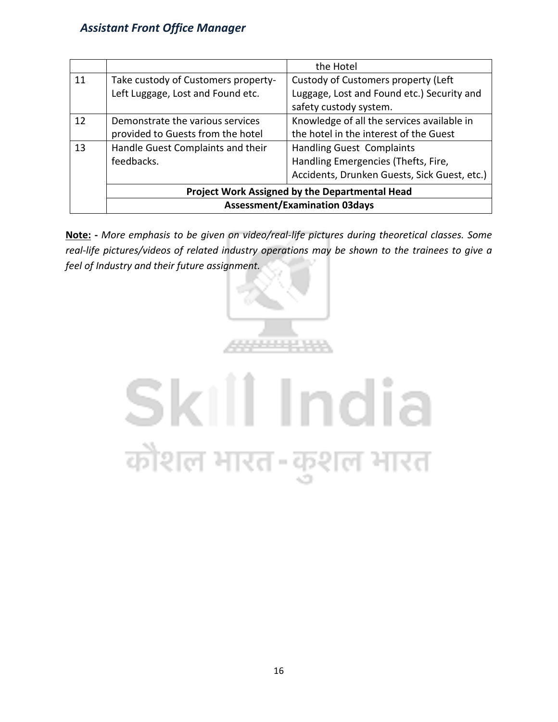|    |                                                | the Hotel                                    |  |
|----|------------------------------------------------|----------------------------------------------|--|
| 11 | Take custody of Customers property-            | Custody of Customers property (Left          |  |
|    | Left Luggage, Lost and Found etc.              | Luggage, Lost and Found etc.) Security and   |  |
|    |                                                | safety custody system.                       |  |
| 12 | Demonstrate the various services               | Knowledge of all the services available in   |  |
|    | provided to Guests from the hotel              | the hotel in the interest of the Guest       |  |
| 13 | Handle Guest Complaints and their              | <b>Handling Guest Complaints</b>             |  |
|    | feedbacks.                                     | Handling Emergencies (Thefts, Fire,          |  |
|    |                                                | Accidents, Drunken Guests, Sick Guest, etc.) |  |
|    | Project Work Assigned by the Departmental Head |                                              |  |
|    | <b>Assessment/Examination 03days</b>           |                                              |  |

**Note: -** *More emphasis to be given on video/real-life pictures during theoretical classes. Some real-life pictures/videos of related industry operations may be shown to the trainees to give a feel of Industry and their future assignment.*



# Skill India कौशल भारत-कुशल भारत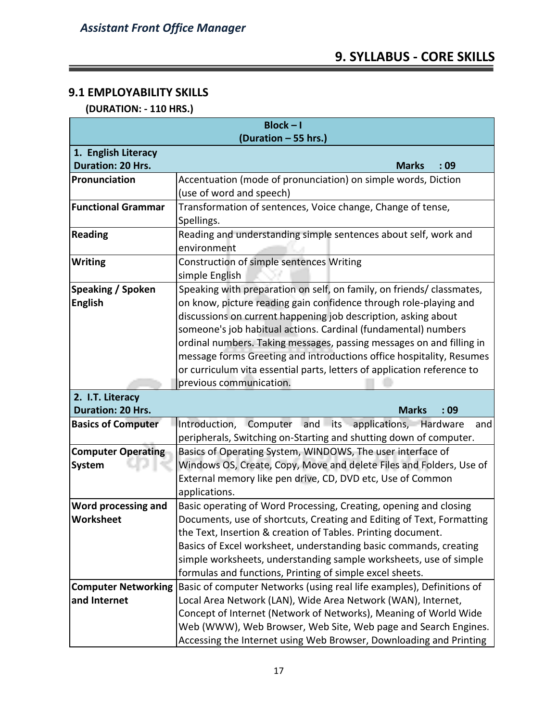## **9. SYLLABUS - CORE SKILLS**

#### **9.1 EMPLOYABILITY SKILLS**

<u> Tanzania (m. 1888)</u>

#### **(DURATION: - 110 HRS.)**

| $Block - I$                |                                                                         |  |  |  |  |  |  |  |  |  |  |
|----------------------------|-------------------------------------------------------------------------|--|--|--|--|--|--|--|--|--|--|
| (Duration - 55 hrs.)       |                                                                         |  |  |  |  |  |  |  |  |  |  |
| 1. English Literacy        |                                                                         |  |  |  |  |  |  |  |  |  |  |
| <b>Duration: 20 Hrs.</b>   | <b>Marks</b><br>:09                                                     |  |  |  |  |  |  |  |  |  |  |
| Pronunciation              | Accentuation (mode of pronunciation) on simple words, Diction           |  |  |  |  |  |  |  |  |  |  |
|                            | (use of word and speech)                                                |  |  |  |  |  |  |  |  |  |  |
| <b>Functional Grammar</b>  | Transformation of sentences, Voice change, Change of tense,             |  |  |  |  |  |  |  |  |  |  |
|                            | Spellings.                                                              |  |  |  |  |  |  |  |  |  |  |
| <b>Reading</b>             | Reading and understanding simple sentences about self, work and         |  |  |  |  |  |  |  |  |  |  |
|                            | environment                                                             |  |  |  |  |  |  |  |  |  |  |
| <b>Writing</b>             | Construction of simple sentences Writing                                |  |  |  |  |  |  |  |  |  |  |
|                            | simple English                                                          |  |  |  |  |  |  |  |  |  |  |
| Speaking / Spoken          | Speaking with preparation on self, on family, on friends/ classmates,   |  |  |  |  |  |  |  |  |  |  |
| <b>English</b>             | on know, picture reading gain confidence through role-playing and       |  |  |  |  |  |  |  |  |  |  |
|                            | discussions on current happening job description, asking about          |  |  |  |  |  |  |  |  |  |  |
|                            | someone's job habitual actions. Cardinal (fundamental) numbers          |  |  |  |  |  |  |  |  |  |  |
|                            | ordinal numbers. Taking messages, passing messages on and filling in    |  |  |  |  |  |  |  |  |  |  |
|                            | message forms Greeting and introductions office hospitality, Resumes    |  |  |  |  |  |  |  |  |  |  |
|                            | or curriculum vita essential parts, letters of application reference to |  |  |  |  |  |  |  |  |  |  |
|                            | previous communication.                                                 |  |  |  |  |  |  |  |  |  |  |
| 2. I.T. Literacy           |                                                                         |  |  |  |  |  |  |  |  |  |  |
| <b>Duration: 20 Hrs.</b>   | <b>Marks</b><br>:09                                                     |  |  |  |  |  |  |  |  |  |  |
| <b>Basics of Computer</b>  | Computer<br>and its applications, Hardware<br>Introduction,<br>and      |  |  |  |  |  |  |  |  |  |  |
|                            | peripherals, Switching on-Starting and shutting down of computer.       |  |  |  |  |  |  |  |  |  |  |
| <b>Computer Operating</b>  | Basics of Operating System, WINDOWS, The user interface of              |  |  |  |  |  |  |  |  |  |  |
| System                     | Windows OS, Create, Copy, Move and delete Files and Folders, Use of     |  |  |  |  |  |  |  |  |  |  |
|                            | External memory like pen drive, CD, DVD etc, Use of Common              |  |  |  |  |  |  |  |  |  |  |
|                            | applications.                                                           |  |  |  |  |  |  |  |  |  |  |
| Word processing and        | Basic operating of Word Processing, Creating, opening and closing       |  |  |  |  |  |  |  |  |  |  |
| Worksheet                  | Documents, use of shortcuts, Creating and Editing of Text, Formatting   |  |  |  |  |  |  |  |  |  |  |
|                            | the Text, Insertion & creation of Tables. Printing document.            |  |  |  |  |  |  |  |  |  |  |
|                            | Basics of Excel worksheet, understanding basic commands, creating       |  |  |  |  |  |  |  |  |  |  |
|                            | simple worksheets, understanding sample worksheets, use of simple       |  |  |  |  |  |  |  |  |  |  |
|                            | formulas and functions, Printing of simple excel sheets.                |  |  |  |  |  |  |  |  |  |  |
| <b>Computer Networking</b> | Basic of computer Networks (using real life examples), Definitions of   |  |  |  |  |  |  |  |  |  |  |
| and Internet               | Local Area Network (LAN), Wide Area Network (WAN), Internet,            |  |  |  |  |  |  |  |  |  |  |
|                            | Concept of Internet (Network of Networks), Meaning of World Wide        |  |  |  |  |  |  |  |  |  |  |
|                            | Web (WWW), Web Browser, Web Site, Web page and Search Engines.          |  |  |  |  |  |  |  |  |  |  |
|                            | Accessing the Internet using Web Browser, Downloading and Printing      |  |  |  |  |  |  |  |  |  |  |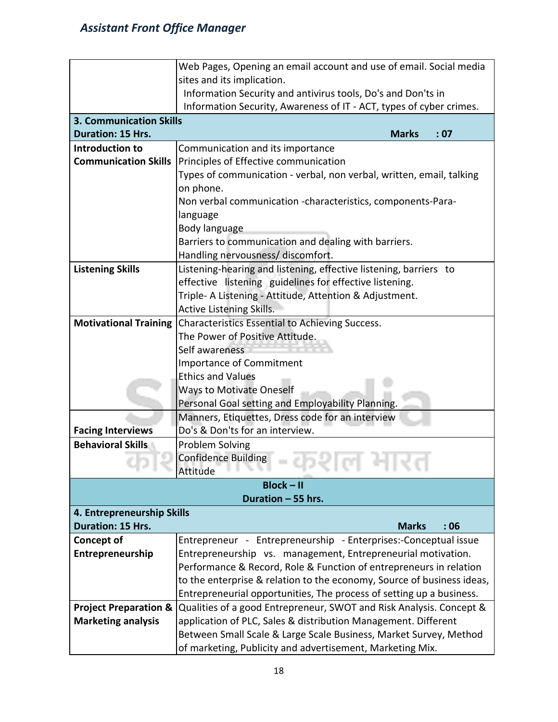|                                  | Web Pages, Opening an email account and use of email. Social media     |  |  |  |  |  |  |  |  |  |  |  |  |
|----------------------------------|------------------------------------------------------------------------|--|--|--|--|--|--|--|--|--|--|--|--|
|                                  | sites and its implication.                                             |  |  |  |  |  |  |  |  |  |  |  |  |
|                                  | Information Security and antivirus tools, Do's and Don'ts in           |  |  |  |  |  |  |  |  |  |  |  |  |
|                                  | Information Security, Awareness of IT - ACT, types of cyber crimes.    |  |  |  |  |  |  |  |  |  |  |  |  |
| <b>3. Communication Skills</b>   |                                                                        |  |  |  |  |  |  |  |  |  |  |  |  |
| <b>Duration: 15 Hrs.</b>         | : 07<br><b>Marks</b>                                                   |  |  |  |  |  |  |  |  |  |  |  |  |
| Introduction to                  | Communication and its importance                                       |  |  |  |  |  |  |  |  |  |  |  |  |
| <b>Communication Skills</b>      | Principles of Effective communication                                  |  |  |  |  |  |  |  |  |  |  |  |  |
|                                  | Types of communication - verbal, non verbal, written, email, talking   |  |  |  |  |  |  |  |  |  |  |  |  |
|                                  | on phone.                                                              |  |  |  |  |  |  |  |  |  |  |  |  |
|                                  | Non verbal communication -characteristics, components-Para-            |  |  |  |  |  |  |  |  |  |  |  |  |
|                                  | language                                                               |  |  |  |  |  |  |  |  |  |  |  |  |
|                                  | Body language                                                          |  |  |  |  |  |  |  |  |  |  |  |  |
|                                  | Barriers to communication and dealing with barriers.                   |  |  |  |  |  |  |  |  |  |  |  |  |
|                                  | Handling nervousness/ discomfort.                                      |  |  |  |  |  |  |  |  |  |  |  |  |
| <b>Listening Skills</b>          | Listening-hearing and listening, effective listening, barriers to      |  |  |  |  |  |  |  |  |  |  |  |  |
|                                  | effective listening guidelines for effective listening.                |  |  |  |  |  |  |  |  |  |  |  |  |
|                                  | Triple- A Listening - Attitude, Attention & Adjustment.                |  |  |  |  |  |  |  |  |  |  |  |  |
|                                  | Active Listening Skills.                                               |  |  |  |  |  |  |  |  |  |  |  |  |
| <b>Motivational Training</b>     | Characteristics Essential to Achieving Success.                        |  |  |  |  |  |  |  |  |  |  |  |  |
|                                  | The Power of Positive Attitude.                                        |  |  |  |  |  |  |  |  |  |  |  |  |
|                                  | Self awareness                                                         |  |  |  |  |  |  |  |  |  |  |  |  |
|                                  | <b>Importance of Commitment</b>                                        |  |  |  |  |  |  |  |  |  |  |  |  |
|                                  | <b>Ethics and Values</b>                                               |  |  |  |  |  |  |  |  |  |  |  |  |
|                                  | <b>Ways to Motivate Oneself</b>                                        |  |  |  |  |  |  |  |  |  |  |  |  |
|                                  | Personal Goal setting and Employability Planning.                      |  |  |  |  |  |  |  |  |  |  |  |  |
|                                  | Manners, Etiquettes, Dress code for an interview                       |  |  |  |  |  |  |  |  |  |  |  |  |
| <b>Facing Interviews</b>         | Do's & Don'ts for an interview.                                        |  |  |  |  |  |  |  |  |  |  |  |  |
| <b>Behavioral Skills</b>         | <b>Problem Solving</b>                                                 |  |  |  |  |  |  |  |  |  |  |  |  |
|                                  | <b>Confidence Building</b>                                             |  |  |  |  |  |  |  |  |  |  |  |  |
|                                  | Attitude                                                               |  |  |  |  |  |  |  |  |  |  |  |  |
|                                  | $Block - II$                                                           |  |  |  |  |  |  |  |  |  |  |  |  |
| Duration - 55 hrs.               |                                                                        |  |  |  |  |  |  |  |  |  |  |  |  |
| 4. Entrepreneurship Skills       |                                                                        |  |  |  |  |  |  |  |  |  |  |  |  |
| Duration: 15 Hrs.                | <b>Marks</b><br>:06                                                    |  |  |  |  |  |  |  |  |  |  |  |  |
| <b>Concept of</b>                | Entrepreneur - Entrepreneurship - Enterprises:-Conceptual issue        |  |  |  |  |  |  |  |  |  |  |  |  |
| Entrepreneurship                 | Entrepreneurship vs. management, Entrepreneurial motivation.           |  |  |  |  |  |  |  |  |  |  |  |  |
|                                  | Performance & Record, Role & Function of entrepreneurs in relation     |  |  |  |  |  |  |  |  |  |  |  |  |
|                                  | to the enterprise & relation to the economy, Source of business ideas, |  |  |  |  |  |  |  |  |  |  |  |  |
|                                  | Entrepreneurial opportunities, The process of setting up a business.   |  |  |  |  |  |  |  |  |  |  |  |  |
| <b>Project Preparation &amp;</b> | Qualities of a good Entrepreneur, SWOT and Risk Analysis. Concept &    |  |  |  |  |  |  |  |  |  |  |  |  |
| <b>Marketing analysis</b>        | application of PLC, Sales & distribution Management. Different         |  |  |  |  |  |  |  |  |  |  |  |  |
|                                  | Between Small Scale & Large Scale Business, Market Survey, Method      |  |  |  |  |  |  |  |  |  |  |  |  |
|                                  | of marketing, Publicity and advertisement, Marketing Mix.              |  |  |  |  |  |  |  |  |  |  |  |  |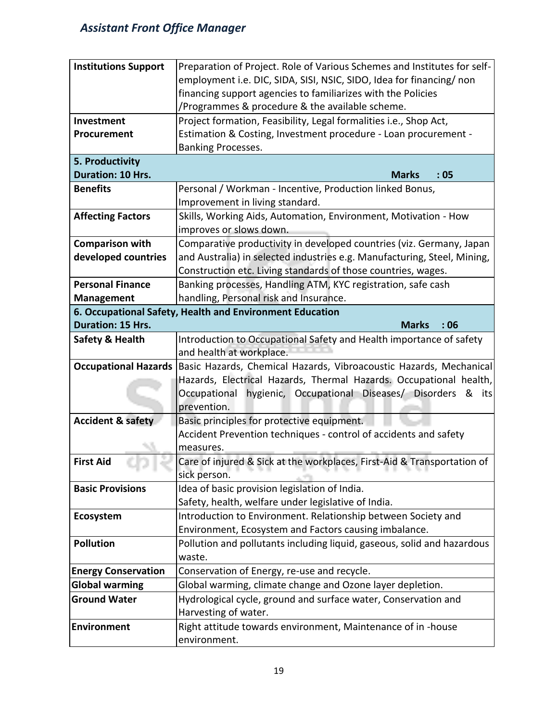| <b>Institutions Support</b>  | Preparation of Project. Role of Various Schemes and Institutes for self-          |  |  |  |  |  |  |  |
|------------------------------|-----------------------------------------------------------------------------------|--|--|--|--|--|--|--|
|                              | employment i.e. DIC, SIDA, SISI, NSIC, SIDO, Idea for financing/ non              |  |  |  |  |  |  |  |
|                              | financing support agencies to familiarizes with the Policies                      |  |  |  |  |  |  |  |
|                              | /Programmes & procedure & the available scheme.                                   |  |  |  |  |  |  |  |
| Investment                   | Project formation, Feasibility, Legal formalities i.e., Shop Act,                 |  |  |  |  |  |  |  |
| Procurement                  | Estimation & Costing, Investment procedure - Loan procurement -                   |  |  |  |  |  |  |  |
|                              | <b>Banking Processes.</b>                                                         |  |  |  |  |  |  |  |
| 5. Productivity              |                                                                                   |  |  |  |  |  |  |  |
| <b>Duration: 10 Hrs.</b>     | <b>Marks</b><br>:05                                                               |  |  |  |  |  |  |  |
| <b>Benefits</b>              | Personal / Workman - Incentive, Production linked Bonus,                          |  |  |  |  |  |  |  |
|                              | Improvement in living standard.                                                   |  |  |  |  |  |  |  |
| <b>Affecting Factors</b>     | Skills, Working Aids, Automation, Environment, Motivation - How                   |  |  |  |  |  |  |  |
|                              | improves or slows down.                                                           |  |  |  |  |  |  |  |
| <b>Comparison with</b>       | Comparative productivity in developed countries (viz. Germany, Japan              |  |  |  |  |  |  |  |
| developed countries          | and Australia) in selected industries e.g. Manufacturing, Steel, Mining,          |  |  |  |  |  |  |  |
|                              | Construction etc. Living standards of those countries, wages.                     |  |  |  |  |  |  |  |
| <b>Personal Finance</b>      | Banking processes, Handling ATM, KYC registration, safe cash                      |  |  |  |  |  |  |  |
| <b>Management</b>            | handling, Personal risk and Insurance.                                            |  |  |  |  |  |  |  |
|                              | 6. Occupational Safety, Health and Environment Education                          |  |  |  |  |  |  |  |
| Duration: 15 Hrs.            | <b>Marks</b><br>:06                                                               |  |  |  |  |  |  |  |
| <b>Safety &amp; Health</b>   | Introduction to Occupational Safety and Health importance of safety               |  |  |  |  |  |  |  |
|                              | and health at workplace.                                                          |  |  |  |  |  |  |  |
| <b>Occupational Hazards</b>  | Basic Hazards, Chemical Hazards, Vibroacoustic Hazards, Mechanical                |  |  |  |  |  |  |  |
|                              | Hazards, Electrical Hazards, Thermal Hazards. Occupational health,                |  |  |  |  |  |  |  |
|                              | hygienic, Occupational Diseases/ Disorders & its<br>Occupational                  |  |  |  |  |  |  |  |
|                              | prevention.                                                                       |  |  |  |  |  |  |  |
| <b>Accident &amp; safety</b> | Basic principles for protective equipment.                                        |  |  |  |  |  |  |  |
|                              | Accident Prevention techniques - control of accidents and safety                  |  |  |  |  |  |  |  |
|                              | measures.                                                                         |  |  |  |  |  |  |  |
| <b>First Aid</b>             | Care of injured & Sick at the workplaces, First-Aid & Transportation of<br>.<br>. |  |  |  |  |  |  |  |
|                              | sick person.                                                                      |  |  |  |  |  |  |  |
| <b>Basic Provisions</b>      | Idea of basic provision legislation of India.                                     |  |  |  |  |  |  |  |
|                              | Safety, health, welfare under legislative of India.                               |  |  |  |  |  |  |  |
| Ecosystem                    | Introduction to Environment. Relationship between Society and                     |  |  |  |  |  |  |  |
|                              | Environment, Ecosystem and Factors causing imbalance.                             |  |  |  |  |  |  |  |
| <b>Pollution</b>             | Pollution and pollutants including liquid, gaseous, solid and hazardous           |  |  |  |  |  |  |  |
|                              | waste.                                                                            |  |  |  |  |  |  |  |
| <b>Energy Conservation</b>   | Conservation of Energy, re-use and recycle.                                       |  |  |  |  |  |  |  |
| <b>Global warming</b>        | Global warming, climate change and Ozone layer depletion.                         |  |  |  |  |  |  |  |
| <b>Ground Water</b>          | Hydrological cycle, ground and surface water, Conservation and                    |  |  |  |  |  |  |  |
|                              | Harvesting of water.                                                              |  |  |  |  |  |  |  |
| Environment                  | Right attitude towards environment, Maintenance of in -house                      |  |  |  |  |  |  |  |
|                              | environment.                                                                      |  |  |  |  |  |  |  |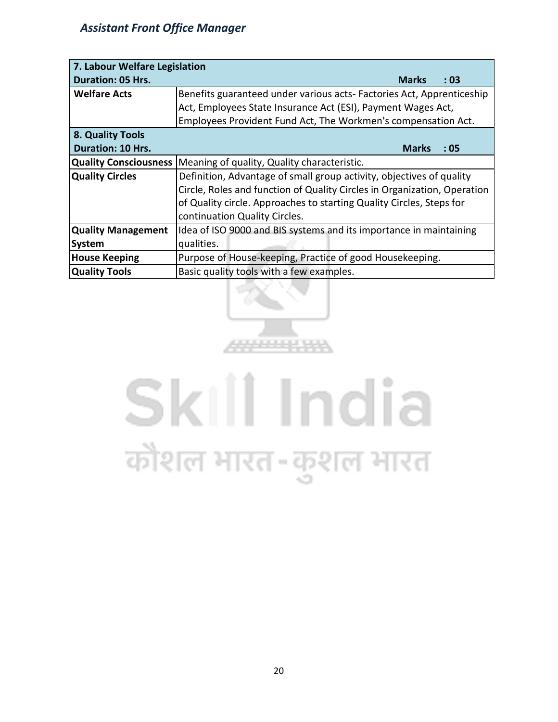| 7. Labour Welfare Legislation |                                                                          |  |  |  |  |  |  |  |  |  |  |
|-------------------------------|--------------------------------------------------------------------------|--|--|--|--|--|--|--|--|--|--|
| <b>Duration: 05 Hrs.</b>      | <b>Marks</b><br>:03                                                      |  |  |  |  |  |  |  |  |  |  |
| <b>Welfare Acts</b>           | Benefits guaranteed under various acts-Factories Act, Apprenticeship     |  |  |  |  |  |  |  |  |  |  |
|                               | Act, Employees State Insurance Act (ESI), Payment Wages Act,             |  |  |  |  |  |  |  |  |  |  |
|                               | Employees Provident Fund Act, The Workmen's compensation Act.            |  |  |  |  |  |  |  |  |  |  |
| 8. Quality Tools              |                                                                          |  |  |  |  |  |  |  |  |  |  |
| <b>Duration: 10 Hrs.</b>      | <b>Marks</b><br>: 05                                                     |  |  |  |  |  |  |  |  |  |  |
| <b>Quality Consciousness</b>  | Meaning of quality, Quality characteristic.                              |  |  |  |  |  |  |  |  |  |  |
| <b>Quality Circles</b>        | Definition, Advantage of small group activity, objectives of quality     |  |  |  |  |  |  |  |  |  |  |
|                               | Circle, Roles and function of Quality Circles in Organization, Operation |  |  |  |  |  |  |  |  |  |  |
|                               | of Quality circle. Approaches to starting Quality Circles, Steps for     |  |  |  |  |  |  |  |  |  |  |
|                               | continuation Quality Circles.                                            |  |  |  |  |  |  |  |  |  |  |
| <b>Quality Management</b>     | Idea of ISO 9000 and BIS systems and its importance in maintaining       |  |  |  |  |  |  |  |  |  |  |
| <b>System</b>                 | qualities.                                                               |  |  |  |  |  |  |  |  |  |  |
| <b>House Keeping</b>          | Purpose of House-keeping, Practice of good Housekeeping.                 |  |  |  |  |  |  |  |  |  |  |
| <b>Quality Tools</b>          | Basic quality tools with a few examples.                                 |  |  |  |  |  |  |  |  |  |  |



# Skill India कौशल भारत-कुशल भारत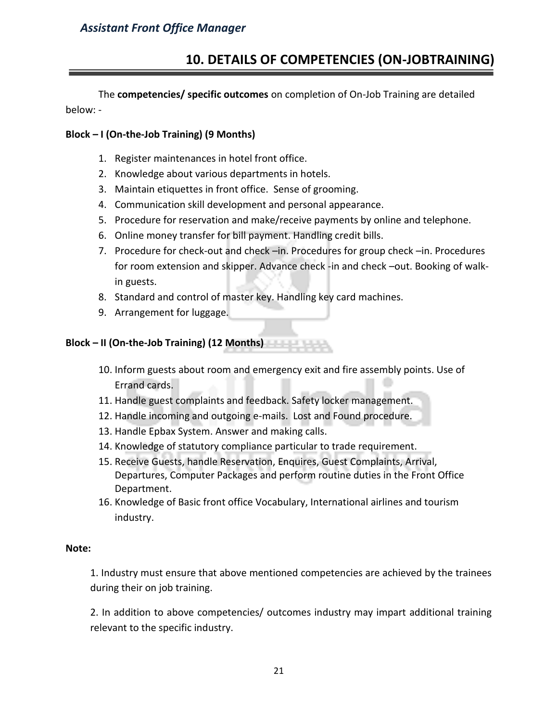## **10. DETAILS OF COMPETENCIES (ON-JOBTRAINING)**

The **competencies/ specific outcomes** on completion of On-Job Training are detailed below: -

#### **Block – I (On-the-Job Training) (9 Months)**

- 1. Register maintenances in hotel front office.
- 2. Knowledge about various departments in hotels.
- 3. Maintain etiquettes in front office. Sense of grooming.
- 4. Communication skill development and personal appearance.
- 5. Procedure for reservation and make/receive payments by online and telephone.
- 6. Online money transfer for bill payment. Handling credit bills.
- 7. Procedure for check-out and check –in. Procedures for group check –in. Procedures for room extension and skipper. Advance check -in and check –out. Booking of walkin guests.
- 8. Standard and control of master key. Handling key card machines.
- 9. Arrangement for luggage.

**Block – II (On-the-Job Training) (12 Months)**

- 10. Inform guests about room and emergency exit and fire assembly points. Use of Errand cards.
- 11. Handle guest complaints and feedback. Safety locker management.
- 12. Handle incoming and outgoing e-mails. Lost and Found procedure.
- 13. Handle Epbax System. Answer and making calls.
- 14. Knowledge of statutory compliance particular to trade requirement.
- 15. Receive Guests, handle Reservation, Enquires, Guest Complaints, Arrival, Departures, Computer Packages and perform routine duties in the Front Office Department.
- 16. Knowledge of Basic front office Vocabulary, International airlines and tourism industry.

#### **Note:**

1. Industry must ensure that above mentioned competencies are achieved by the trainees during their on job training.

2. In addition to above competencies/ outcomes industry may impart additional training relevant to the specific industry.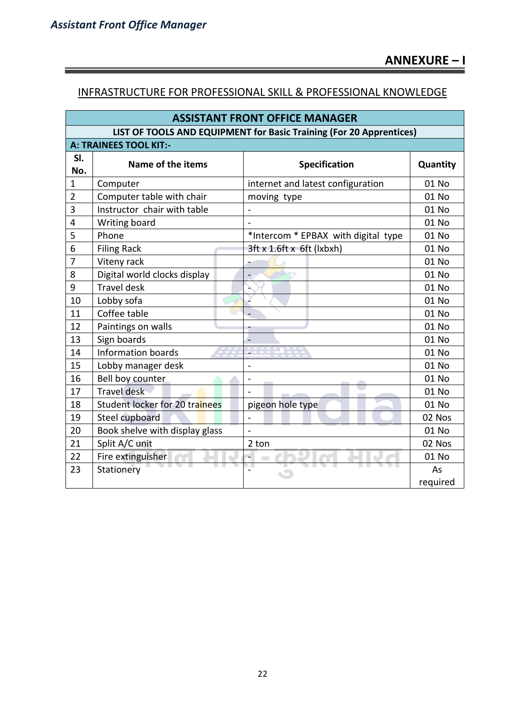ĩ

#### INFRASTRUCTURE FOR PROFESSIONAL SKILL & PROFESSIONAL KNOWLEDGE

| <b>ASSISTANT FRONT OFFICE MANAGER</b>                               |                                |                                     |          |  |  |  |  |  |
|---------------------------------------------------------------------|--------------------------------|-------------------------------------|----------|--|--|--|--|--|
| LIST OF TOOLS AND EQUIPMENT for Basic Training (For 20 Apprentices) |                                |                                     |          |  |  |  |  |  |
| A: TRAINEES TOOL KIT:-                                              |                                |                                     |          |  |  |  |  |  |
| SI.<br>No.                                                          | Name of the items              | <b>Specification</b>                | Quantity |  |  |  |  |  |
| $\mathbf{1}$                                                        | Computer                       | internet and latest configuration   | 01 No    |  |  |  |  |  |
| $\overline{2}$                                                      | Computer table with chair      | moving type                         | 01 No    |  |  |  |  |  |
| 3                                                                   | Instructor chair with table    |                                     | 01 No    |  |  |  |  |  |
| $\overline{\mathbf{4}}$                                             | Writing board                  |                                     | 01 No    |  |  |  |  |  |
| 5                                                                   | Phone                          | *Intercom * EPBAX with digital type | 01 No    |  |  |  |  |  |
| 6                                                                   | <b>Filing Rack</b>             | 3ft x 1.6ft x 6ft (lxbxh)           | 01 No    |  |  |  |  |  |
| $\overline{7}$                                                      | Viteny rack                    |                                     | 01 No    |  |  |  |  |  |
| 8                                                                   | Digital world clocks display   | $\blacksquare$                      | 01 No    |  |  |  |  |  |
| 9                                                                   | <b>Travel desk</b>             |                                     | 01 No    |  |  |  |  |  |
| 10                                                                  | Lobby sofa                     |                                     | 01 No    |  |  |  |  |  |
| 11                                                                  | Coffee table                   |                                     | 01 No    |  |  |  |  |  |
| 12                                                                  | Paintings on walls             |                                     | 01 No    |  |  |  |  |  |
| 13                                                                  | Sign boards                    |                                     | 01 No    |  |  |  |  |  |
| 14                                                                  | <b>Information boards</b>      |                                     | 01 No    |  |  |  |  |  |
| 15                                                                  | Lobby manager desk             | $\overline{\phantom{a}}$            | 01 No    |  |  |  |  |  |
| 16                                                                  | Bell boy counter               |                                     | 01 No    |  |  |  |  |  |
| 17                                                                  | <b>Travel</b> desk             |                                     | 01 No    |  |  |  |  |  |
| 18                                                                  | Student locker for 20 trainees | pigeon hole type                    | 01 No    |  |  |  |  |  |
| 19                                                                  | Steel cupboard                 |                                     | 02 Nos   |  |  |  |  |  |
| 20                                                                  | Book shelve with display glass | $\sim$                              | 01 No    |  |  |  |  |  |
| 21                                                                  | Split A/C unit                 | 2 ton                               | 02 Nos   |  |  |  |  |  |
| 22                                                                  | Fire extinguisher              | ч.<br><b>College</b>                | 01 No    |  |  |  |  |  |
| 23                                                                  | Stationery                     | ▸▔                                  | As       |  |  |  |  |  |
|                                                                     |                                |                                     | required |  |  |  |  |  |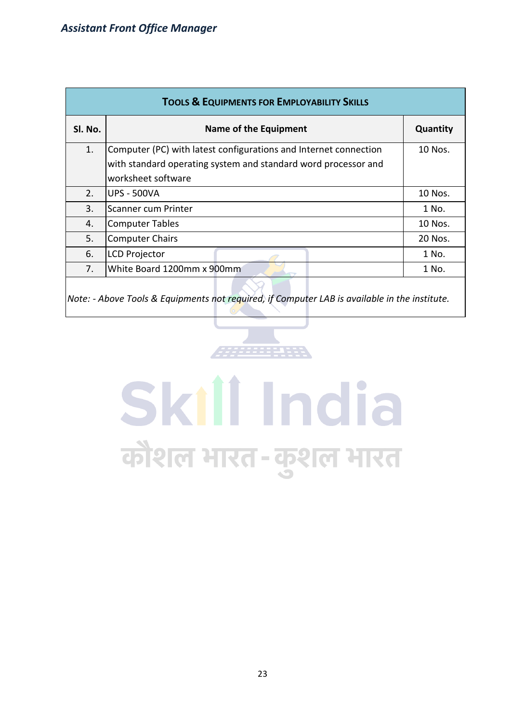| <b>TOOLS &amp; EQUIPMENTS FOR EMPLOYABILITY SKILLS</b> |                                                                  |          |  |  |  |  |  |  |
|--------------------------------------------------------|------------------------------------------------------------------|----------|--|--|--|--|--|--|
| SI. No.                                                | Name of the Equipment                                            | Quantity |  |  |  |  |  |  |
| 1.                                                     | Computer (PC) with latest configurations and Internet connection | 10 Nos.  |  |  |  |  |  |  |
|                                                        | with standard operating system and standard word processor and   |          |  |  |  |  |  |  |
|                                                        | worksheet software                                               |          |  |  |  |  |  |  |
| 2.                                                     | <b>UPS - 500VA</b>                                               | 10 Nos.  |  |  |  |  |  |  |
| 3.                                                     | Scanner cum Printer                                              | 1 No.    |  |  |  |  |  |  |
| 4.                                                     | <b>Computer Tables</b>                                           | 10 Nos.  |  |  |  |  |  |  |
| 5.                                                     | <b>Computer Chairs</b>                                           | 20 Nos.  |  |  |  |  |  |  |
| 6.                                                     | <b>LCD Projector</b>                                             | 1 No.    |  |  |  |  |  |  |
| 7.                                                     | White Board 1200mm x 900mm                                       | 1 No.    |  |  |  |  |  |  |
|                                                        |                                                                  |          |  |  |  |  |  |  |

*Note: - Above Tools & Equipments not required, if Computer LAB is available in the institute.*

# Skill India कौशल भारत-कुशल भारत